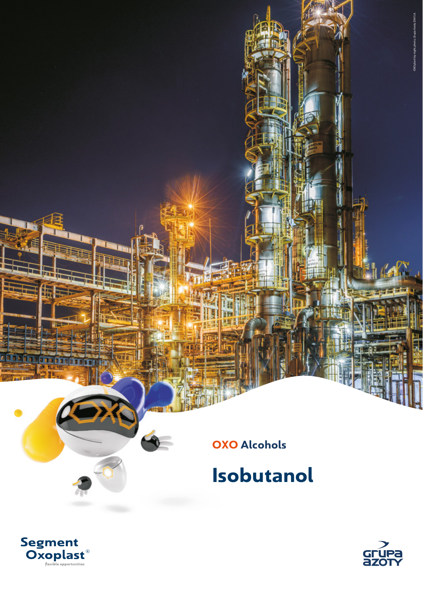

## **Isobutanol**